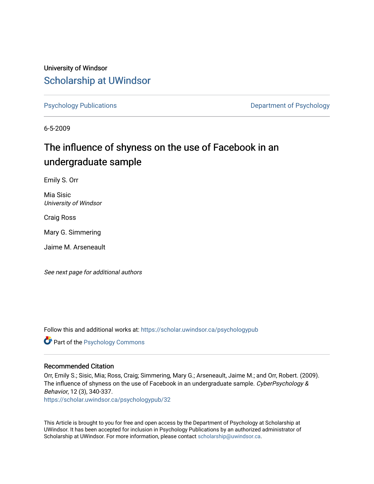University of Windsor [Scholarship at UWindsor](https://scholar.uwindsor.ca/) 

[Psychology Publications](https://scholar.uwindsor.ca/psychologypub) **Department of Psychology** 

6-5-2009

# The influence of shyness on the use of Facebook in an undergraduate sample

Emily S. Orr

Mia Sisic University of Windsor

Craig Ross

Mary G. Simmering

Jaime M. Arseneault

See next page for additional authors

Follow this and additional works at: [https://scholar.uwindsor.ca/psychologypub](https://scholar.uwindsor.ca/psychologypub?utm_source=scholar.uwindsor.ca%2Fpsychologypub%2F32&utm_medium=PDF&utm_campaign=PDFCoverPages) 

Part of the [Psychology Commons](http://network.bepress.com/hgg/discipline/404?utm_source=scholar.uwindsor.ca%2Fpsychologypub%2F32&utm_medium=PDF&utm_campaign=PDFCoverPages) 

### Recommended Citation

Orr, Emily S.; Sisic, Mia; Ross, Craig; Simmering, Mary G.; Arseneault, Jaime M.; and Orr, Robert. (2009). The influence of shyness on the use of Facebook in an undergraduate sample. CyberPsychology & Behavior, 12 (3), 340-337.

[https://scholar.uwindsor.ca/psychologypub/32](https://scholar.uwindsor.ca/psychologypub/32?utm_source=scholar.uwindsor.ca%2Fpsychologypub%2F32&utm_medium=PDF&utm_campaign=PDFCoverPages)

This Article is brought to you for free and open access by the Department of Psychology at Scholarship at UWindsor. It has been accepted for inclusion in Psychology Publications by an authorized administrator of Scholarship at UWindsor. For more information, please contact [scholarship@uwindsor.ca.](mailto:scholarship@uwindsor.ca)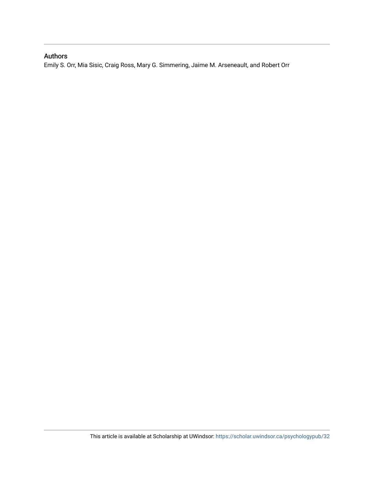### Authors

Emily S. Orr, Mia Sisic, Craig Ross, Mary G. Simmering, Jaime M. Arseneault, and Robert Orr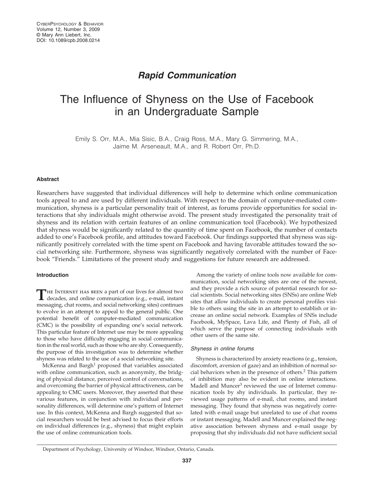## **Rapid Communication**

## The Influence of Shyness on the Use of Facebook in an Undergraduate Sample

Emily S. Orr, M.A., Mia Sisic, B.A., Craig Ross, M.A., Mary G. Simmering, M.A., Jaime M. Arseneault, M.A., and R. Robert Orr, Ph.D.

#### **Abstract**

Researchers have suggested that individual differences will help to determine which online communication tools appeal to and are used by different individuals. With respect to the domain of computer-mediated communication, shyness is a particular personality trait of interest, as forums provide opportunities for social interactions that shy individuals might otherwise avoid. The present study investigated the personality trait of shyness and its relation with certain features of an online communication tool (Facebook). We hypothesized that shyness would be significantly related to the quantity of time spent on Facebook, the number of contacts added to one's Facebook profile, and attitudes toward Facebook. Our findings supported that shyness was significantly positively correlated with the time spent on Facebook and having favorable attitudes toward the social networking site. Furthermore, shyness was significantly negatively correlated with the number of Facebook "Friends." Limitations of the present study and suggestions for future research are addressed.

#### **Introduction**

THE INTERNET HAS BEEN a part of our lives for almost two<br>decades, and online communication (e.g., e-mail, instant messaging, chat rooms, and social networking sites) continues to evolve in an attempt to appeal to the general public. One potential benefit of computer-mediated communication (CMC) is the possibility of expanding one's social network. This particular feature of Internet use may be more appealing to those who have difficulty engaging in social communication in the real world, such as those who are shy. Consequently, the purpose of this investigation was to determine whether shyness was related to the use of a social networking site.

McKenna and Bargh<sup>1</sup> proposed that variables associated with online communication, such as anonymity, the bridging of physical distance, perceived control of conversations, and overcoming the barrier of physical attractiveness, can be appealing to CMC users. Moreover, they asserted that these various features, in conjunction with individual and personality differences, will determine one's pattern of Internet use. In this context, McKenna and Bargh suggested that social researchers would be best advised to focus their efforts on individual differences (e.g., shyness) that might explain the use of online communication tools.

Among the variety of online tools now available for communication, social networking sites are one of the newest, and they provide a rich source of potential research for social scientists. Social networking sites (SNSs) are online Web sites that allow individuals to create personal profiles visible to others using the site in an attempt to establish or increase an online social network. Examples of SNSs include Facebook, MySpace, Lava Life, and Plenty of Fish, all of which serve the purpose of connecting individuals with other users of the same site.

#### Shyness in online forums

Shyness is characterized by anxiety reactions (e.g., tension, discomfort, aversion of gaze) and an inhibition of normal social behaviors when in the presence of others.<sup>2</sup> This pattern of inhibition may also be evident in online interactions. Madell and Muncer<sup>3</sup> reviewed the use of Internet communication tools by shy individuals. In particular, they reviewed usage patterns of e-mail, chat rooms, and instant messaging. They found that shyness was negatively correlated with e-mail usage but unrelated to use of chat rooms or instant messaging. Madell and Muncer explained the negative association between shyness and e-mail usage by proposing that shy individuals did not have sufficient social

Department of Psychology, University of Windsor, Windsor, Ontario, Canada.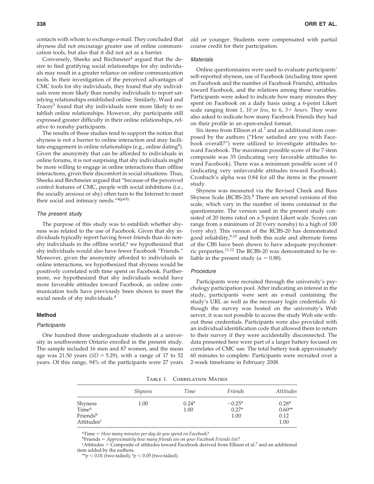contacts with whom to exchange e-mail. They concluded that shyness did not encourage greater use of online communication tools, but also that it did not act as a barrier.

Conversely, Sheeks and Birchmeier $4$  argued that the desire to find gratifying social relationships for shy individuals may result in a greater reliance on online communication tools. In their investigation of the perceived advantages of CMC tools for shy individuals, they found that shy individuals were more likely than nonshy individuals to report satisfying relationships established online. Similarly, Ward and Tracey<sup>5</sup> found that shy individuals were more likely to establish online relationships. However, shy participants still expressed greater difficulty in their online relationships, relative to nonshy participants.

The results of these studies tend to support the notion that shyness is not a barrier to online interaction and may facilitate engagement in online relationships (e.g., online dating<sup>8</sup>). Given the anonymity that can be afforded to individuals in online forums, it is not surprising that shy individuals might be more willing to engage in online interactions than offline interactions, given their discomfort in social situations. Thus, Sheeks and Birchmeier argued that "because of the perceived control features of CMC, people with social inhibitions (i.e., the socially anxious or shy) often turn to the Internet to meet their social and intimacy needs."4(p65)

#### The present study

The purpose of this study was to establish whether shyness was related to the use of Facebook. Given that shy individuals typically report having fewer friends than do nonshy individuals in the offline world, $6$  we hypothesized that shy individuals would also have fewer Facebook "Friends." Moreover, given the anonymity afforded to individuals in online interactions, we hypothesized that shyness would be positively correlated with time spent on Facebook. Furthermore, we hypothesized that shy individuals would have more favorable attitudes toward Facebook, as online communication tools have previously been shown to meet the social needs of shy individuals.<sup>4</sup>

#### **Method**

#### **Participants**

One hundred three undergraduate students at a university in southwestern Ontario enrolled in the present study. The sample included 16 men and 87 women, and the mean age was  $21.50$  years  $(SD = 5.29)$ , with a range of 17 to 52 years. Of this range, 94% of the participants were 27 years

old or younger. Students were compensated with partial course credit for their participation.

#### **Materials**

Online questionnaires were used to evaluate participants' self-reported shyness, use of Facebook (including time spent on Facebook and the number of Facebook Friends), attitudes toward Facebook, and the relations among these variables. Participants were asked to indicate how many minutes they spent on Facebook on a daily basis using a 6-point Likert scale ranging from 1, *10 or less*, to 6, *3- hours*. They were also asked to indicate how many Facebook Friends they had on their profile in an open-ended format.

Six items from Ellison et al.<sup>7</sup> and an additional item composed by the authors ("How satisfied are you with Facebook overall?") were utilized to investigate attitudes toward Facebook. The maximum possible score of the 7-item composite was 35 (indicating very favorable attitudes toward Facebook). There was a minimum possible score of 0 (indicating very unfavorable attitudes toward Facebook). Cronbach's alpha was 0.84 for all the items in the present study.

Shyness was measured via the Revised Cheek and Buss Shyness Scale (RCBS-20).8 There are several versions of this scale, which vary in the number of items contained in the questionnaire. The version used in the present study consisted of 20 items rated on a 5-point Likert scale. Scores can range from a minimum of 20 (very nonshy) to a high of 100 (very shy). This version of the RCBS-20 has demonstrated good reliability, $9,10$  and both this scale and alternate forms of the CBS have been shown to have adequate psychometric properties.11,12 The RCBS-20 was demonstrated to be reliable in the present study ( $\alpha = 0.88$ ).

#### **Procedure**

Participants were recruited through the university's psychology participation pool. After indicating an interest in the study, participants were sent an e-mail containing the study's URL as well as the necessary login credentials. Although the survey was hosted on the university's Web server, it was not possible to access the study Web site without these credentials. Participants were also provided with an individual identification code that allowed them to return to their survey if they were accidentally disconnected. The data presented here were part of a larger battery focused on correlates of CMC use. The total battery took approximately 60 minutes to complete. Participants were recruited over a 2-week timeframe in February 2008.

Table 1. Correlation Matrix

|                        | <i>Shyness</i> | Time    | Friends  | Attitudes |
|------------------------|----------------|---------|----------|-----------|
| Shyness                | 1.00           | $0.24*$ | $-0.25*$ | $0.28*$   |
| Time <sup>a</sup>      |                | 1.00    | $0.27*$  | $0.60**$  |
| Friendsb               |                |         | 1.00     | 0.12      |
| Attitudes <sup>c</sup> |                |         |          | 1.00      |

aTime = How many minutes per day do you spend on Facebook?

<sup>a</sup>Time = *How many minutes per day do you spend on Facebook?*<br><sup>b</sup>Friends = *Approximately how many friends are on your Facebook Friends list?*<br><sup>c</sup>Attitudes = Composite of attitudes toward Facebook derived from Ellisc

Attitudes = Composite of attitudes toward Facebook derived from Ellison et al.<sup>7</sup> and an additional item added by the authors.

 $**p$  < 0.01 (two-tailed);  $*p$  < 0.05 (two-tailed).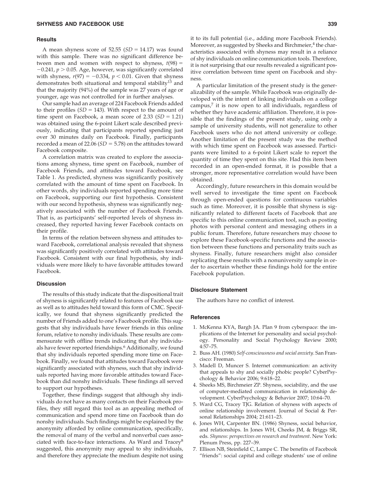#### **Results**

A mean shyness score of  $52.55$   $(SD = 14.17)$  was found with this sample. There was no significant difference between men and women with respect to shyness,  $t(98) =$  $-0.241$ ,  $p > 0.05$ . Age, however, was significantly correlated with shyness,  $r(97) = -0.334$ ,  $p < 0.01$ . Given that shyness demonstrates both situational and temporal stability<sup>13</sup> and that the majority (94%) of the sample was 27 years of age or younger, age was not controlled for in further analyses.

Our sample had an average of 224 Facebook Friends added to their profiles  $(SD = 143)$ . With respect to the amount of time spent on Facebook, a mean score of  $2.33$   $(SD = 1.21)$ was obtained using the 6-point Likert scale described previously, indicating that participants reported spending just over 30 minutes daily on Facebook. Finally, participants recorded a mean of 22.06 ( $SD = 5.78$ ) on the attitudes toward Facebook composite.

A correlation matrix was created to explore the associations among shyness, time spent on Facebook, number of Facebook Friends, and attitudes toward Facebook, see Table 1. As predicted, shyness was significantly positively correlated with the amount of time spent on Facebook. In other words, shy individuals reported spending more time on Facebook, supporting our first hypothesis. Consistent with our second hypothesis, shyness was significantly negatively associated with the number of Facebook Friends. That is, as participants' self-reported levels of shyness increased, they reported having fewer Facebook contacts on their profile.

In terms of the relation between shyness and attitudes toward Facebook, correlational analysis revealed that shyness was significantly positively correlated with attitudes toward Facebook. Consistent with our final hypothesis, shy individuals were more likely to have favorable attitudes toward Facebook.

#### **Discussion**

The results of this study indicate that the dispositional trait of shyness is significantly related to features of Facebook use as well as to attitudes held toward this form of CMC. Specifically, we found that shyness significantly predicted the number of Friends added to one's Facebook profile. This suggests that shy individuals have fewer friends in this online forum, relative to nonshy individuals. These results are commensurate with offline trends indicating that shy individuals have fewer reported friendships.<sup>6</sup> Additionally, we found that shy individuals reported spending more time on Facebook. Finally, we found that attitudes toward Facebook were significantly associated with shyness, such that shy individuals reported having more favorable attitudes toward Facebook than did nonshy individuals. These findings all served to support our hypotheses.

Together, these findings suggest that although shy individuals do not have as many contacts on their Facebook profiles, they still regard this tool as an appealing method of communication and spend more time on Facebook than do nonshy individuals. Such findings might be explained by the anonymity afforded by online communication, specifically, the removal of many of the verbal and nonverbal cues associated with face-to-face interactions. As Ward and Tracey<sup>8</sup> suggested, this anonymity may appeal to shy individuals, and therefore they appreciate the medium despite not using

it to its full potential (i.e., adding more Facebook Friends). Moreover, as suggested by Sheeks and Birchmeier, $4$  the characteristics associated with shyness may result in a reliance of shy individuals on online communication tools. Therefore, it is not surprising that our results revealed a significant positive correlation between time spent on Facebook and shyness.

A particular limitation of the present study is the generalizability of the sample. While Facebook was originally developed with the intent of linking individuals on a college campus, $^7$  it is now open to all individuals, regardless of whether they have academic affiliation. Therefore, it is possible that the findings of the present study, using only a sample of university students, will not generalize to other Facebook users who do not attend university or college. Another limitation of the present study was the method with which time spent on Facebook was assessed. Participants were limited to a 6-point Likert scale to report the quantity of time they spent on this site. Had this item been recorded in an open-ended format, it is possible that a stronger, more representative correlation would have been obtained.

Accordingly, future researchers in this domain would be well served to investigate the time spent on Facebook through open-ended questions for continuous variables such as time. Moreover, it is possible that shyness is significantly related to different facets of Facebook that are specific to this online communication tool, such as posting photos with personal content and messaging others in a public forum. Therefore, future researchers may choose to explore these Facebook-specific functions and the association between these functions and personality traits such as shyness. Finally, future researchers might also consider replicating these results with a nonuniversity sample in order to ascertain whether these findings hold for the entire Facebook population.

#### **Disclosure Statement**

The authors have no conflict of interest.

#### **References**

- 1. McKenna KYA, Bargh JA. Plan 9 from cyberspace: the implications of the Internet for personality and social psychology. Personality and Social Psychology Review 2000; 4:57–75.
- 2. Buss AH. (1980) *Self-consciousness and social anxiety*. San Francisco: Freeman.
- 3. Madell D, Muncer S. Internet communication: an activity that appeals to shy and socially phobic people? CyberPsychology & Behavior 2006; 9:618–22.
- 4. Sheeks MS, Birchmeier ZP. Shyness, sociability, and the use of computer-mediated communication in relationship development. CyberPsychology & Behavior 2007; 10:64–70.
- 5. Ward CG, Tracey TJG. Relation of shyness with aspects of online relationship involvement. Journal of Social & Personal Relationships 2004; 21:611–23.
- 6. Jones WH, Carpenter BN. (1986) Shyness, social behavior, and relationships. In Jones WH, Cheeks JM, & Briggs SR, eds. *Shyness: perspectives on research and treatment*. New York: Plenum Press, pp. 227–39.
- 7. Ellison NB, Steinfield C, Lampe C. The benefits of Facebook "friends": social capital and college students' use of online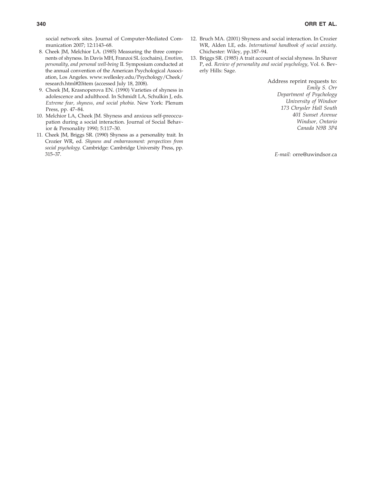social network sites. Journal of Computer-Mediated Communication 2007; 12:1143–68.

- 8. Cheek JM, Melchior LA. (1985) Measuring the three components of shyness. In Davis MH, Franzoi SL (cochairs), *Emotion, personality, and personal well-being* II. Symposium conducted at the annual convention of the American Psychological Association, Los Angeles. www.wellesley.edu/Psychology/Cheek/ research.html#20item (accessed July 18, 2008).
- 9. Cheek JM, Krasnoperova EN. (1990) Varieties of shyness in adolescence and adulthood. In Schmidt LA, Schulkin J, eds. *Extreme fear, shyness, and social phobia*. New York: Plenum Press, pp. 47–84.
- 10. Melchior LA, Cheek JM. Shyness and anxious self-preoccupation during a social interaction. Journal of Social Behavior & Personality 1990; 5:117–30.
- 11. Cheek JM, Briggs SR. (1990) Shyness as a personality trait. In Crozier WR, ed. *Shyness and embarrassment: perspectives from social psychology*. Cambridge: Cambridge University Press, pp. 315–37.
- 12. Bruch MA. (2001) Shyness and social interaction. In Crozier WR, Alden LE, eds. *International handbook of social anxiety*. Chichester: Wiley, pp.187–94.
- 13. Briggs SR. (1985) A trait account of social shyness. In Shaver P, ed. *Review of personality and social psychology*, Vol. 6. Beverly Hills: Sage.

Address reprint requests to: *Emily S. Orr Department of Psychology University of Windsor 173 Chrysler Hall South 401 Sunset Avenue Windsor, Ontario Canada N9B 3P4*

*E-mail:* orre@uwindsor.ca